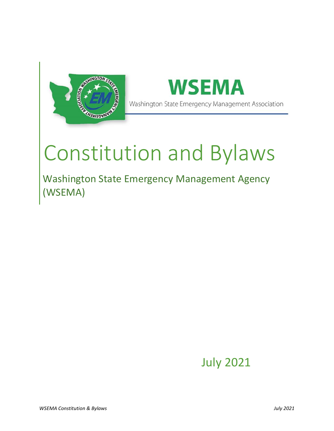



# Constitution and Bylaws

Washington State Emergency Management Agency (WSEMA)

July 2021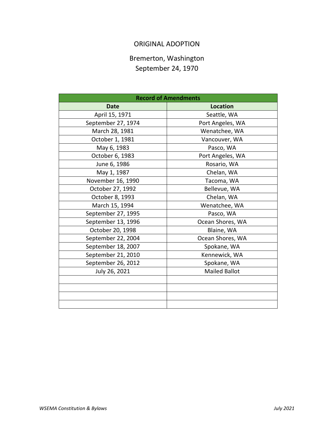# ORIGINAL ADOPTION

# Bremerton, Washington September 24, 1970

| <b>Record of Amendments</b> |                      |
|-----------------------------|----------------------|
| <b>Date</b>                 | <b>Location</b>      |
| April 15, 1971              | Seattle, WA          |
| September 27, 1974          | Port Angeles, WA     |
| March 28, 1981              | Wenatchee, WA        |
| October 1, 1981             | Vancouver, WA        |
| May 6, 1983                 | Pasco, WA            |
| October 6, 1983             | Port Angeles, WA     |
| June 6, 1986                | Rosario, WA          |
| May 1, 1987                 | Chelan, WA           |
| November 16, 1990           | Tacoma, WA           |
| October 27, 1992            | Bellevue, WA         |
| October 8, 1993             | Chelan, WA           |
| March 15, 1994              | Wenatchee, WA        |
| September 27, 1995          | Pasco, WA            |
| September 13, 1996          | Ocean Shores, WA     |
| October 20, 1998            | Blaine, WA           |
| September 22, 2004          | Ocean Shores, WA     |
| September 18, 2007          | Spokane, WA          |
| September 21, 2010          | Kennewick, WA        |
| September 26, 2012          | Spokane, WA          |
| July 26, 2021               | <b>Mailed Ballot</b> |
|                             |                      |
|                             |                      |
|                             |                      |
|                             |                      |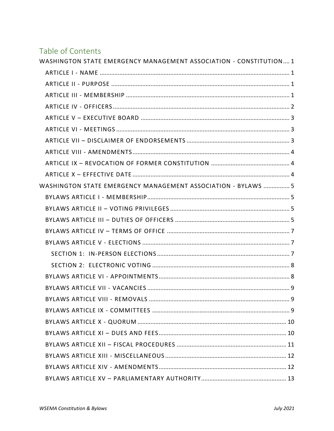# Table of Contents

| WASHINGTON STATE EMERGENCY MANAGEMENT ASSOCIATION - CONSTITUTION 1 |   |
|--------------------------------------------------------------------|---|
|                                                                    |   |
|                                                                    |   |
|                                                                    |   |
|                                                                    |   |
|                                                                    |   |
|                                                                    |   |
|                                                                    |   |
|                                                                    |   |
|                                                                    |   |
|                                                                    |   |
| WASHINGTON STATE EMERGENCY MANAGEMENT ASSOCIATION - BYLAWS  5      |   |
|                                                                    |   |
|                                                                    |   |
|                                                                    |   |
|                                                                    |   |
|                                                                    |   |
|                                                                    |   |
|                                                                    |   |
|                                                                    |   |
|                                                                    |   |
|                                                                    | 9 |
|                                                                    |   |
|                                                                    |   |
|                                                                    |   |
|                                                                    |   |
|                                                                    |   |
|                                                                    |   |
|                                                                    |   |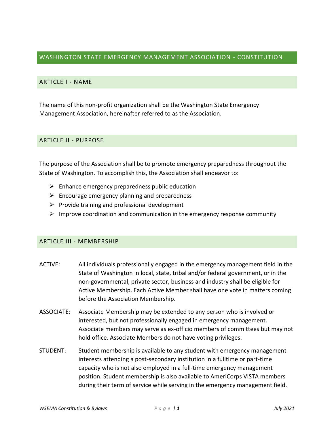### <span id="page-3-0"></span>WASHINGTON STATE EMERGENCY MANAGEMENT ASSOCIATION - CONSTITUTION

#### <span id="page-3-1"></span>ARTICLE I - NAME

The name of this non-profit organization shall be the Washington State Emergency Management Association, hereinafter referred to as the Association.

#### <span id="page-3-2"></span>ARTICLE II - PURPOSE

The purpose of the Association shall be to promote emergency preparedness throughout the State of Washington. To accomplish this, the Association shall endeavor to:

- $\triangleright$  Enhance emergency preparedness public education
- $\triangleright$  Encourage emergency planning and preparedness
- $\triangleright$  Provide training and professional development
- $\triangleright$  Improve coordination and communication in the emergency response community

#### <span id="page-3-3"></span>ARTICLE III - MEMBERSHIP

- ACTIVE: All individuals professionally engaged in the emergency management field in the State of Washington in local, state, tribal and/or federal government, or in the non-governmental, private sector, business and industry shall be eligible for Active Membership. Each Active Member shall have one vote in matters coming before the Association Membership.
- ASSOCIATE: Associate Membership may be extended to any person who is involved or interested, but not professionally engaged in emergency management. Associate members may serve as ex-officio members of committees but may not hold office. Associate Members do not have voting privileges.
- STUDENT: Student membership is available to any student with emergency management interests attending a post-secondary institution in a fulltime or part-time capacity who is not also employed in a full-time emergency management position. Student membership is also available to AmeriCorps VISTA members during their term of service while serving in the emergency management field.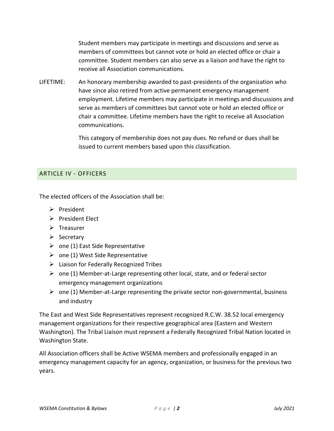Student members may participate in meetings and discussions and serve as members of committees but cannot vote or hold an elected office or chair a committee. Student members can also serve as a liaison and have the right to receive all Association communications.

LIFETIME: An honorary membership awarded to past-presidents of the organization who have since also retired from active permanent emergency management employment. Lifetime members may participate in meetings and discussions and serve as members of committees but cannot vote or hold an elected office or chair a committee. Lifetime members have the right to receive all Association communications.

> This category of membership does not pay dues. No refund or dues shall be issued to current members based upon this classification.

### <span id="page-4-0"></span>ARTICLE IV - OFFICERS

The elected officers of the Association shall be:

- ➢ President
- ➢ President Elect
- ➢ Treasurer
- ➢ Secretary
- $\triangleright$  one (1) East Side Representative
- $\triangleright$  one (1) West Side Representative
- $\triangleright$  Liaison for Federally Recognized Tribes
- $\triangleright$  one (1) Member-at-Large representing other local, state, and or federal sector emergency management organizations
- $\triangleright$  one (1) Member-at-Large representing the private sector non-governmental, business and industry

The East and West Side Representatives represent recognized R.C.W. 38.52 local emergency management organizations for their respective geographical area (Eastern and Western Washington). The Tribal Liaison must represent a Federally Recognized Tribal Nation located in Washington State.

All Association officers shall be Active WSEMA members and professionally engaged in an emergency management capacity for an agency, organization, or business for the previous two years.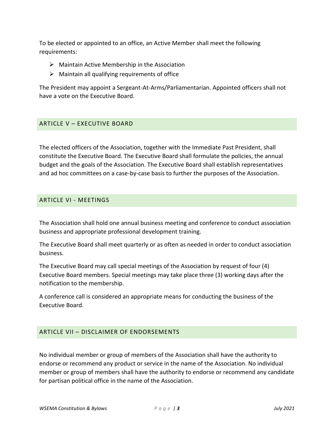To be elected or appointed to an office, an Active Member shall meet the following requirements:

- $\triangleright$  Maintain Active Membership in the Association
- $\triangleright$  Maintain all qualifying requirements of office

The President may appoint a Sergeant-At-Arms/Parliamentarian. Appointed officers shall not have a vote on the Executive Board.

# <span id="page-5-0"></span>ARTICLE V – EXECUTIVE BOARD

The elected officers of the Association, together with the Immediate Past President, shall constitute the Executive Board. The Executive Board shall formulate the policies, the annual budget and the goals of the Association. The Executive Board shall establish representatives and ad hoc committees on a case-by-case basis to further the purposes of the Association.

### <span id="page-5-1"></span>ARTICLE VI - MEETINGS

The Association shall hold one annual business meeting and conference to conduct association business and appropriate professional development training.

The Executive Board shall meet quarterly or as often as needed in order to conduct association business.

The Executive Board may call special meetings of the Association by request of four (4) Executive Board members. Special meetings may take place three (3) working days after the notification to the membership.

A conference call is considered an appropriate means for conducting the business of the Executive Board.

# <span id="page-5-2"></span>ARTICLE VII – DISCLAIMER OF ENDORSEMENTS

No individual member or group of members of the Association shall have the authority to endorse or recommend any product or service in the name of the Association. No individual member or group of members shall have the authority to endorse or recommend any candidate for partisan political office in the name of the Association.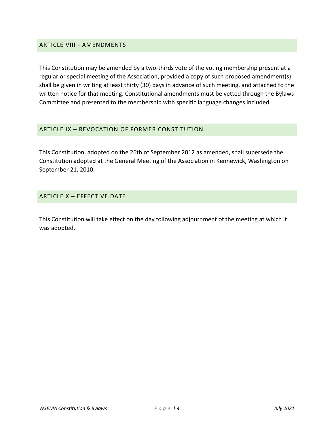#### <span id="page-6-0"></span>ARTICLE VIII - AMENDMENTS

This Constitution may be amended by a two-thirds vote of the voting membership present at a regular or special meeting of the Association, provided a copy of such proposed amendment(s) shall be given in writing at least thirty (30) days in advance of such meeting, and attached to the written notice for that meeting. Constitutional amendments must be vetted through the Bylaws Committee and presented to the membership with specific language changes included.

#### <span id="page-6-1"></span>ARTICLE IX – REVOCATION OF FORMER CONSTITUTION

This Constitution, adopted on the 26th of September 2012 as amended, shall supersede the Constitution adopted at the General Meeting of the Association in Kennewick, Washington on September 21, 2010.

#### <span id="page-6-2"></span>ARTICLE X – EFFECTIVE DATE

This Constitution will take effect on the day following adjournment of the meeting at which it was adopted.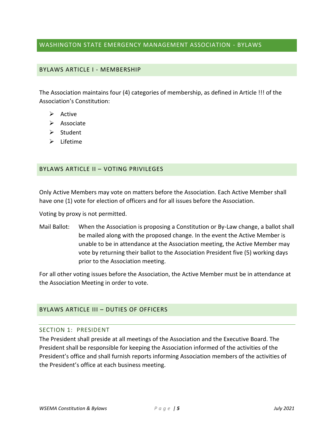### <span id="page-7-0"></span>WASHINGTON STATE EMERGENCY MANAGEMENT ASSOCIATION - BYLAWS

#### <span id="page-7-1"></span>BYLAWS ARTICLE I - MEMBERSHIP

The Association maintains four (4) categories of membership, as defined in Article !!! of the Association's Constitution:

- ➢ Active
- ➢ Associate
- ➢ Student
- ➢ Lifetime

#### <span id="page-7-2"></span>BYLAWS ARTICLE II – VOTING PRIVILEGES

Only Active Members may vote on matters before the Association. Each Active Member shall have one (1) vote for election of officers and for all issues before the Association.

Voting by proxy is not permitted.

Mail Ballot: When the Association is proposing a Constitution or By-Law change, a ballot shall be mailed along with the proposed change. In the event the Active Member is unable to be in attendance at the Association meeting, the Active Member may vote by returning their ballot to the Association President five (5) working days prior to the Association meeting.

For all other voting issues before the Association, the Active Member must be in attendance at the Association Meeting in order to vote.

#### <span id="page-7-3"></span>BYLAWS ARTICLE III – DUTIES OF OFFICERS

#### SECTION 1: PRESIDENT

The President shall preside at all meetings of the Association and the Executive Board. The President shall be responsible for keeping the Association informed of the activities of the President's office and shall furnish reports informing Association members of the activities of the President's office at each business meeting.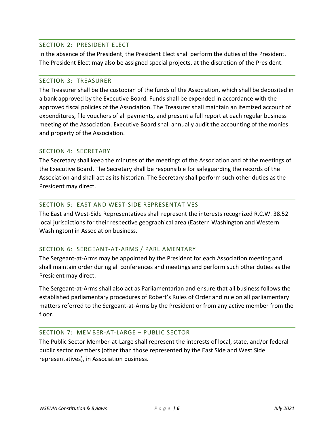#### SECTION 2: PRESIDENT ELECT

In the absence of the President, the President Elect shall perform the duties of the President. The President Elect may also be assigned special projects, at the discretion of the President.

#### SECTION 3: TREASURER

The Treasurer shall be the custodian of the funds of the Association, which shall be deposited in a bank approved by the Executive Board. Funds shall be expended in accordance with the approved fiscal policies of the Association. The Treasurer shall maintain an itemized account of expenditures, file vouchers of all payments, and present a full report at each regular business meeting of the Association. Executive Board shall annually audit the accounting of the monies and property of the Association.

#### SECTION 4: SECRETARY

The Secretary shall keep the minutes of the meetings of the Association and of the meetings of the Executive Board. The Secretary shall be responsible for safeguarding the records of the Association and shall act as its historian. The Secretary shall perform such other duties as the President may direct.

#### SECTION 5: EAST AND WEST-SIDE REPRESENTATIVES

The East and West-Side Representatives shall represent the interests recognized R.C.W. 38.52 local jurisdictions for their respective geographical area (Eastern Washington and Western Washington) in Association business.

#### SECTION 6: SERGEANT-AT-ARMS / PARLIAMENTARY

The Sergeant-at-Arms may be appointed by the President for each Association meeting and shall maintain order during all conferences and meetings and perform such other duties as the President may direct.

The Sergeant-at-Arms shall also act as Parliamentarian and ensure that all business follows the established parliamentary procedures of Robert's Rules of Order and rule on all parliamentary matters referred to the Sergeant-at-Arms by the President or from any active member from the floor.

#### SECTION 7: MEMBER-AT-LARGE – PUBLIC SECTOR

The Public Sector Member-at-Large shall represent the interests of local, state, and/or federal public sector members (other than those represented by the East Side and West Side representatives), in Association business.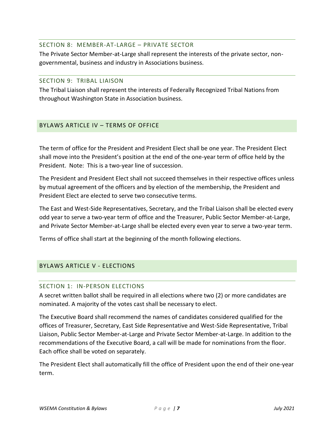#### SECTION 8: MEMBER-AT-LARGE – PRIVATE SECTOR

The Private Sector Member-at-Large shall represent the interests of the private sector, nongovernmental, business and industry in Associations business.

#### SECTION 9: TRIBAL LIAISON

The Tribal Liaison shall represent the interests of Federally Recognized Tribal Nations from throughout Washington State in Association business.

### <span id="page-9-0"></span>BYLAWS ARTICLE IV – TERMS OF OFFICE

The term of office for the President and President Elect shall be one year. The President Elect shall move into the President's position at the end of the one-year term of office held by the President. Note: This is a two-year line of succession.

The President and President Elect shall not succeed themselves in their respective offices unless by mutual agreement of the officers and by election of the membership, the President and President Elect are elected to serve two consecutive terms.

The East and West-Side Representatives, Secretary, and the Tribal Liaison shall be elected every odd year to serve a two-year term of office and the Treasurer, Public Sector Member-at-Large, and Private Sector Member-at-Large shall be elected every even year to serve a two-year term.

Terms of office shall start at the beginning of the month following elections.

# <span id="page-9-2"></span><span id="page-9-1"></span>BYLAWS ARTICLE V - ELECTIONS

#### SECTION 1: IN-PERSON ELECTIONS

A secret written ballot shall be required in all elections where two (2) or more candidates are nominated. A majority of the votes cast shall be necessary to elect.

The Executive Board shall recommend the names of candidates considered qualified for the offices of Treasurer, Secretary, East Side Representative and West-Side Representative, Tribal Liaison, Public Sector Member-at-Large and Private Sector Member-at-Large. In addition to the recommendations of the Executive Board, a call will be made for nominations from the floor. Each office shall be voted on separately.

The President Elect shall automatically fill the office of President upon the end of their one-year term.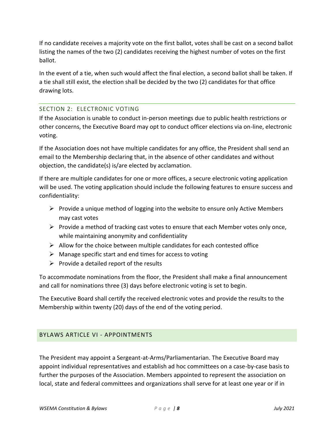If no candidate receives a majority vote on the first ballot, votes shall be cast on a second ballot listing the names of the two (2) candidates receiving the highest number of votes on the first ballot.

In the event of a tie, when such would affect the final election, a second ballot shall be taken. If a tie shall still exist, the election shall be decided by the two (2) candidates for that office drawing lots.

# <span id="page-10-0"></span>SECTION 2: ELECTRONIC VOTING

If the Association is unable to conduct in-person meetings due to public health restrictions or other concerns, the Executive Board may opt to conduct officer elections via on-line, electronic voting.

If the Association does not have multiple candidates for any office, the President shall send an email to the Membership declaring that, in the absence of other candidates and without objection, the candidate(s) is/are elected by acclamation.

If there are multiple candidates for one or more offices, a secure electronic voting application will be used. The voting application should include the following features to ensure success and confidentiality:

- $\triangleright$  Provide a unique method of logging into the website to ensure only Active Members may cast votes
- $\triangleright$  Provide a method of tracking cast votes to ensure that each Member votes only once, while maintaining anonymity and confidentiality
- $\triangleright$  Allow for the choice between multiple candidates for each contested office
- $\triangleright$  Manage specific start and end times for access to voting
- $\triangleright$  Provide a detailed report of the results

To accommodate nominations from the floor, the President shall make a final announcement and call for nominations three (3) days before electronic voting is set to begin.

The Executive Board shall certify the received electronic votes and provide the results to the Membership within twenty (20) days of the end of the voting period.

# <span id="page-10-1"></span>BYLAWS ARTICLE VI - APPOINTMENTS

The President may appoint a Sergeant-at-Arms/Parliamentarian. The Executive Board may appoint individual representatives and establish ad hoc committees on a case-by-case basis to further the purposes of the Association. Members appointed to represent the association on local, state and federal committees and organizations shall serve for at least one year or if in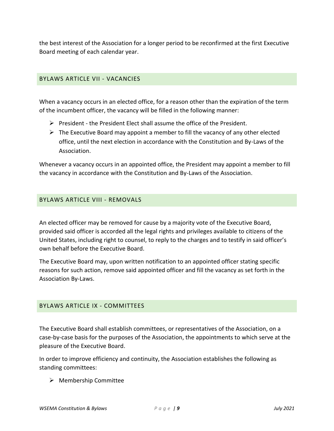the best interest of the Association for a longer period to be reconfirmed at the first Executive Board meeting of each calendar year.

### <span id="page-11-0"></span>BYLAWS ARTICLE VII - VACANCIES

When a vacancy occurs in an elected office, for a reason other than the expiration of the term of the incumbent officer, the vacancy will be filled in the following manner:

- $\triangleright$  President the President Elect shall assume the office of the President.
- $\triangleright$  The Executive Board may appoint a member to fill the vacancy of any other elected office, until the next election in accordance with the Constitution and By-Laws of the Association.

Whenever a vacancy occurs in an appointed office, the President may appoint a member to fill the vacancy in accordance with the Constitution and By-Laws of the Association.

#### <span id="page-11-1"></span>BYLAWS ARTICLE VIII - REMOVALS

An elected officer may be removed for cause by a majority vote of the Executive Board, provided said officer is accorded all the legal rights and privileges available to citizens of the United States, including right to counsel, to reply to the charges and to testify in said officer's own behalf before the Executive Board.

The Executive Board may, upon written notification to an appointed officer stating specific reasons for such action, remove said appointed officer and fill the vacancy as set forth in the Association By-Laws.

#### <span id="page-11-2"></span>BYLAWS ARTICLE IX - COMMITTEES

The Executive Board shall establish committees, or representatives of the Association, on a case-by-case basis for the purposes of the Association, the appointments to which serve at the pleasure of the Executive Board.

In order to improve efficiency and continuity, the Association establishes the following as standing committees:

➢ Membership Committee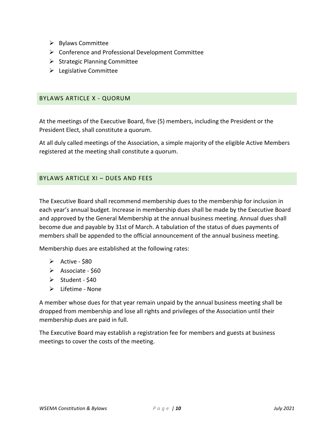- ➢ Bylaws Committee
- ➢ Conference and Professional Development Committee
- $\triangleright$  Strategic Planning Committee
- $\blacktriangleright$  Legislative Committee

#### <span id="page-12-0"></span>BYLAWS ARTICLE X - QUORUM

At the meetings of the Executive Board, five (5) members, including the President or the President Elect, shall constitute a quorum.

At all duly called meetings of the Association, a simple majority of the eligible Active Members registered at the meeting shall constitute a quorum.

#### <span id="page-12-1"></span>BYLAWS ARTICLE XI – DUES AND FEES

The Executive Board shall recommend membership dues to the membership for inclusion in each year's annual budget. Increase in membership dues shall be made by the Executive Board and approved by the General Membership at the annual business meeting. Annual dues shall become due and payable by 31st of March. A tabulation of the status of dues payments of members shall be appended to the official announcement of the annual business meeting.

Membership dues are established at the following rates:

- $\triangleright$  Active \$80
- ➢ Associate \$60
- $\triangleright$  Student \$40
- ➢ Lifetime None

A member whose dues for that year remain unpaid by the annual business meeting shall be dropped from membership and lose all rights and privileges of the Association until their membership dues are paid in full.

The Executive Board may establish a registration fee for members and guests at business meetings to cover the costs of the meeting.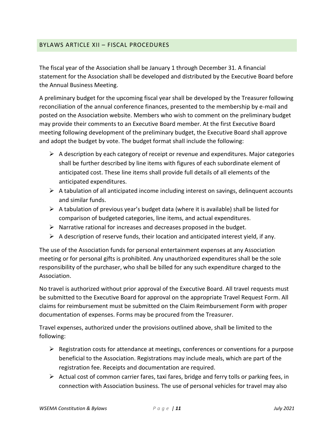### <span id="page-13-0"></span>BYLAWS ARTICLE XII – FISCAL PROCEDURES

The fiscal year of the Association shall be January 1 through December 31. A financial statement for the Association shall be developed and distributed by the Executive Board before the Annual Business Meeting.

A preliminary budget for the upcoming fiscal year shall be developed by the Treasurer following reconciliation of the annual conference finances, presented to the membership by e-mail and posted on the Association website. Members who wish to comment on the preliminary budget may provide their comments to an Executive Board member. At the first Executive Board meeting following development of the preliminary budget, the Executive Board shall approve and adopt the budget by vote. The budget format shall include the following:

- $\triangleright$  A description by each category of receipt or revenue and expenditures. Major categories shall be further described by line items with figures of each subordinate element of anticipated cost. These line items shall provide full details of all elements of the anticipated expenditures.
- $\triangleright$  A tabulation of all anticipated income including interest on savings, delinquent accounts and similar funds.
- $\triangleright$  A tabulation of previous year's budget data (where it is available) shall be listed for comparison of budgeted categories, line items, and actual expenditures.
- ➢ Narrative rational for increases and decreases proposed in the budget.
- $\triangleright$  A description of reserve funds, their location and anticipated interest yield, if any.

The use of the Association funds for personal entertainment expenses at any Association meeting or for personal gifts is prohibited. Any unauthorized expenditures shall be the sole responsibility of the purchaser, who shall be billed for any such expenditure charged to the Association.

No travel is authorized without prior approval of the Executive Board. All travel requests must be submitted to the Executive Board for approval on the appropriate Travel Request Form. All claims for reimbursement must be submitted on the Claim Reimbursement Form with proper documentation of expenses. Forms may be procured from the Treasurer.

Travel expenses, authorized under the provisions outlined above, shall be limited to the following:

- $\triangleright$  Registration costs for attendance at meetings, conferences or conventions for a purpose beneficial to the Association. Registrations may include meals, which are part of the registration fee. Receipts and documentation are required.
- ➢ Actual cost of common carrier fares, taxi fares, bridge and ferry tolls or parking fees, in connection with Association business. The use of personal vehicles for travel may also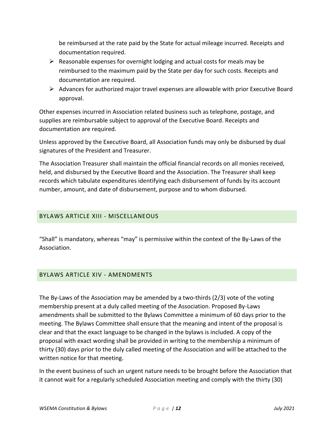be reimbursed at the rate paid by the State for actual mileage incurred. Receipts and documentation required.

- $\triangleright$  Reasonable expenses for overnight lodging and actual costs for meals may be reimbursed to the maximum paid by the State per day for such costs. Receipts and documentation are required.
- $\triangleright$  Advances for authorized major travel expenses are allowable with prior Executive Board approval.

Other expenses incurred in Association related business such as telephone, postage, and supplies are reimbursable subject to approval of the Executive Board. Receipts and documentation are required.

Unless approved by the Executive Board, all Association funds may only be disbursed by dual signatures of the President and Treasurer.

The Association Treasurer shall maintain the official financial records on all monies received, held, and disbursed by the Executive Board and the Association. The Treasurer shall keep records which tabulate expenditures identifying each disbursement of funds by its account number, amount, and date of disbursement, purpose and to whom disbursed.

# <span id="page-14-0"></span>BYLAWS ARTICLE XIII - MISCELLANEOUS

"Shall" is mandatory, whereas "may" is permissive within the context of the By-Laws of the Association.

#### <span id="page-14-1"></span>BYLAWS ARTICLE XIV - AMENDMENTS

The By-Laws of the Association may be amended by a two-thirds (2/3) vote of the voting membership present at a duly called meeting of the Association. Proposed By-Laws amendments shall be submitted to the Bylaws Committee a minimum of 60 days prior to the meeting. The Bylaws Committee shall ensure that the meaning and intent of the proposal is clear and that the exact language to be changed in the bylaws is included. A copy of the proposal with exact wording shall be provided in writing to the membership a minimum of thirty (30) days prior to the duly called meeting of the Association and will be attached to the written notice for that meeting.

In the event business of such an urgent nature needs to be brought before the Association that it cannot wait for a regularly scheduled Association meeting and comply with the thirty (30)